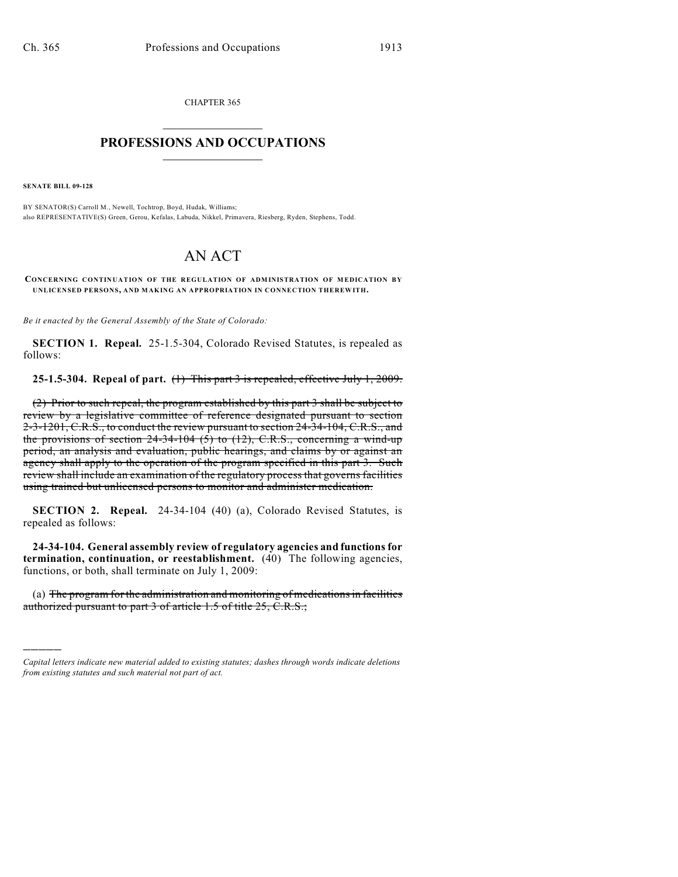CHAPTER 365  $\overline{\phantom{a}}$  . The set of the set of the set of the set of the set of the set of the set of the set of the set of the set of the set of the set of the set of the set of the set of the set of the set of the set of the set o

## **PROFESSIONS AND OCCUPATIONS**  $\frac{1}{2}$  ,  $\frac{1}{2}$  ,  $\frac{1}{2}$  ,  $\frac{1}{2}$  ,  $\frac{1}{2}$  ,  $\frac{1}{2}$

**SENATE BILL 09-128**

)))))

BY SENATOR(S) Carroll M., Newell, Tochtrop, Boyd, Hudak, Williams; also REPRESENTATIVE(S) Green, Gerou, Kefalas, Labuda, Nikkel, Primavera, Riesberg, Ryden, Stephens, Todd.

## AN ACT

**CONCERNING CONTINUATION OF THE REGULATION OF ADMINISTRATION OF MEDICATION BY UNLICENSED PERSONS, AND MAKING AN APPROPRIATION IN CONNECTION THEREWITH.**

*Be it enacted by the General Assembly of the State of Colorado:*

**SECTION 1. Repeal.** 25-1.5-304, Colorado Revised Statutes, is repealed as follows:

**25-1.5-304. Repeal of part.** (1) This part 3 is repealed, effective July 1, 2009.

(2) Prior to such repeal, the program established by this part 3 shall be subject to review by a legislative committee of reference designated pursuant to section 2-3-1201, C.R.S., to conduct the review pursuant to section 24-34-104, C.R.S., and the provisions of section  $24-34-104$  (5) to (12), C.R.S., concerning a wind-up period, an analysis and evaluation, public hearings, and claims by or against an agency shall apply to the operation of the program specified in this part 3. Such review shall include an examination of the regulatory process that governs facilities using trained but unlicensed persons to monitor and administer medication.

**SECTION 2. Repeal.** 24-34-104 (40) (a), Colorado Revised Statutes, is repealed as follows:

**24-34-104. General assembly review of regulatory agencies and functions for termination, continuation, or reestablishment.** (40) The following agencies, functions, or both, shall terminate on July 1, 2009:

(a) The program for the administration and monitoring of medications in facilities authorized pursuant to part 3 of article 1.5 of title 25, C.R.S.;

*Capital letters indicate new material added to existing statutes; dashes through words indicate deletions from existing statutes and such material not part of act.*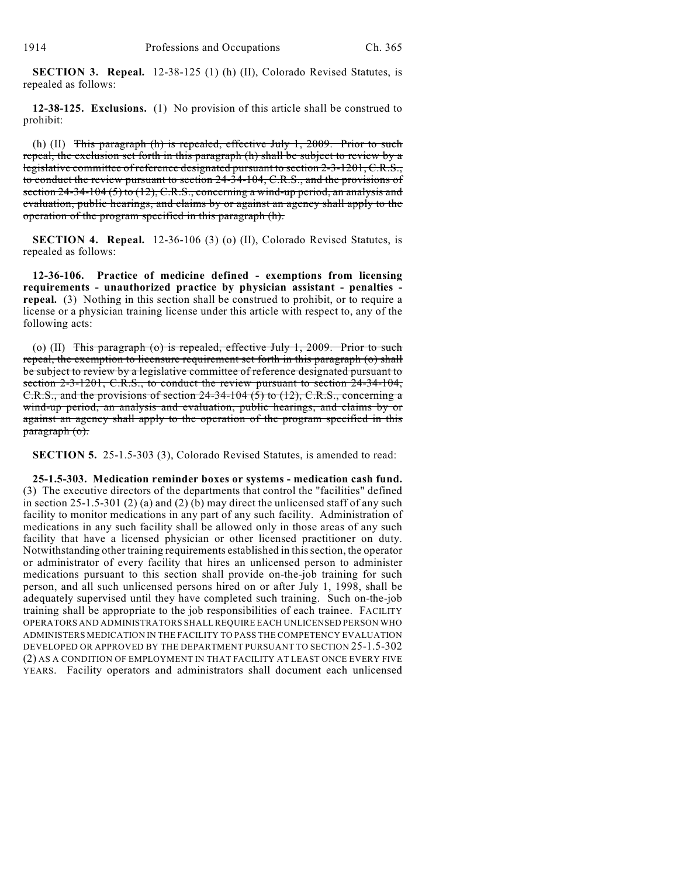**SECTION 3. Repeal.** 12-38-125 (1) (h) (II), Colorado Revised Statutes, is repealed as follows:

**12-38-125. Exclusions.** (1) No provision of this article shall be construed to prohibit:

(h) (II) This paragraph (h) is repealed, effective July 1, 2009. Prior to such repeal, the exclusion set forth in this paragraph (h) shall be subject to review by a legislative committee of reference designated pursuant to section 2-3-1201, C.R.S., to conduct the review pursuant to section 24-34-104, C.R.S., and the provisions of section 24-34-104 (5) to (12), C.R.S., concerning a wind-up period, an analysis and evaluation, public hearings, and claims by or against an agency shall apply to the operation of the program specified in this paragraph (h).

**SECTION 4. Repeal.** 12-36-106 (3) (o) (II), Colorado Revised Statutes, is repealed as follows:

**12-36-106. Practice of medicine defined - exemptions from licensing requirements - unauthorized practice by physician assistant - penalties repeal.** (3) Nothing in this section shall be construed to prohibit, or to require a license or a physician training license under this article with respect to, any of the following acts:

(o) (II) This paragraph (o) is repealed, effective July 1, 2009. Prior to such repeal, the exemption to licensure requirement set forth in this paragraph (o) shall be subject to review by a legislative committee of reference designated pursuant to section 2-3-1201, C.R.S., to conduct the review pursuant to section 24-34-104, C.R.S., and the provisions of section 24-34-104  $(5)$  to  $(12)$ , C.R.S., concerning a wind-up period, an analysis and evaluation, public hearings, and claims by or against an agency shall apply to the operation of the program specified in this paragraph (o).

**SECTION 5.** 25-1.5-303 (3), Colorado Revised Statutes, is amended to read:

**25-1.5-303. Medication reminder boxes or systems - medication cash fund.** (3) The executive directors of the departments that control the "facilities" defined in section  $25-1.5-301$  (2) (a) and (2) (b) may direct the unlicensed staff of any such facility to monitor medications in any part of any such facility. Administration of medications in any such facility shall be allowed only in those areas of any such facility that have a licensed physician or other licensed practitioner on duty. Notwithstanding other training requirements established in this section, the operator or administrator of every facility that hires an unlicensed person to administer medications pursuant to this section shall provide on-the-job training for such person, and all such unlicensed persons hired on or after July 1, 1998, shall be adequately supervised until they have completed such training. Such on-the-job training shall be appropriate to the job responsibilities of each trainee. FACILITY OPERATORS AND ADMINISTRATORS SHALL REQUIRE EACH UNLICENSED PERSON WHO ADMINISTERS MEDICATION IN THE FACILITY TO PASS THE COMPETENCY EVALUATION DEVELOPED OR APPROVED BY THE DEPARTMENT PURSUANT TO SECTION 25-1.5-302 (2) AS A CONDITION OF EMPLOYMENT IN THAT FACILITY AT LEAST ONCE EVERY FIVE YEARS. Facility operators and administrators shall document each unlicensed